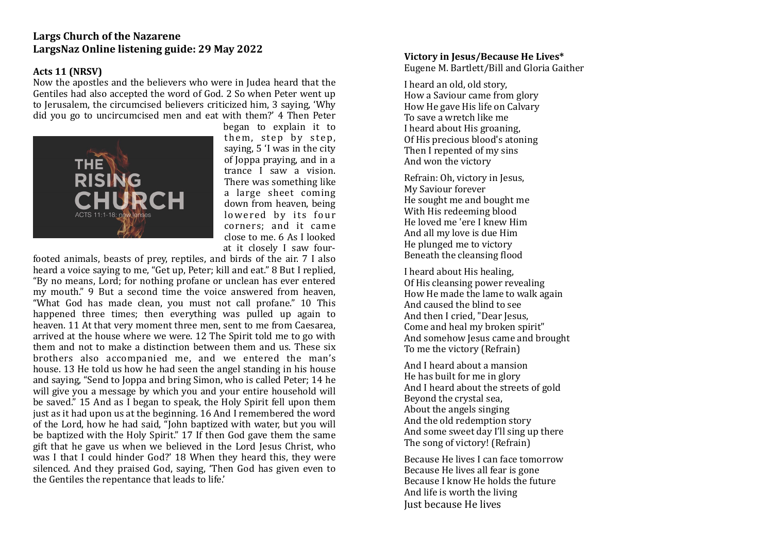# **Largs Church of the Nazarene** LargsNaz Online listening guide: 29 May 2022

### **Acts 11 (NRSV)**

Now the apostles and the believers who were in Judea heard that the Gentiles had also accepted the word of God. 2 So when Peter went up to Jerusalem, the circumcised believers criticized him, 3 saying, 'Why did you go to uncircumcised men and eat with them?' 4 Then Peter



began to explain it to them, step by step, saying, 5 'I was in the city of Joppa praying, and in a trance I saw a vision. There was something like a large sheet coming down from heaven, being lowered by its four corners; and it came close to me. 6 As I looked at it closely I saw four-

footed animals, beasts of prey, reptiles, and birds of the air. 7 I also heard a voice saying to me, "Get up, Peter; kill and eat." 8 But I replied, "By no means, Lord; for nothing profane or unclean has ever entered my mouth." 9 But a second time the voice answered from heaven, "What God has made clean, you must not call profane." 10 This happened three times; then everything was pulled up again to heaven. 11 At that very moment three men, sent to me from Caesarea, arrived at the house where we were. 12 The Spirit told me to go with them and not to make a distinction between them and us. These six brothers also accompanied me, and we entered the man's house. 13 He told us how he had seen the angel standing in his house and saying, "Send to Joppa and bring Simon, who is called Peter; 14 he will give you a message by which you and your entire household will be saved." 15 And as I began to speak, the Holy Spirit fell upon them just as it had upon us at the beginning. 16 And I remembered the word of the Lord, how he had said, "John baptized with water, but you will be baptized with the Holy Spirit." 17 If then God gave them the same gift that he gave us when we believed in the Lord Jesus Christ, who was I that I could hinder God?' 18 When they heard this, they were silenced. And they praised God, saying, 'Then God has given even to the Gentiles the repentance that leads to life.'

### **Victory in Iesus/Because He Lives\***

Eugene M. Bartlett/Bill and Gloria Gaither

I heard an old, old story. How a Saviour came from glory How He gave His life on Calvary To save a wretch like me I heard about His groaning. Of His precious blood's atoning Then I repented of my sins And won the victory

Refrain: Oh, victory in Jesus, My Saviour forever He sought me and bought me With His redeeming blood He loved me 'ere I knew Him And all my love is due Him He plunged me to victory Beneath the cleansing flood

I heard about His healing. Of His cleansing power revealing How He made the lame to walk again And caused the blind to see And then I cried, "Dear Jesus, Come and heal my broken spirit" And somehow Jesus came and brought To me the victory (Refrain)

And I heard about a mansion He has built for me in glory And I heard about the streets of gold Beyond the crystal sea. About the angels singing And the old redemption story And some sweet day I'll sing up there The song of victory! (Refrain)

Because He lives I can face tomorrow Because He lives all fear is gone Because I know He holds the future And life is worth the living **Iust because He lives**